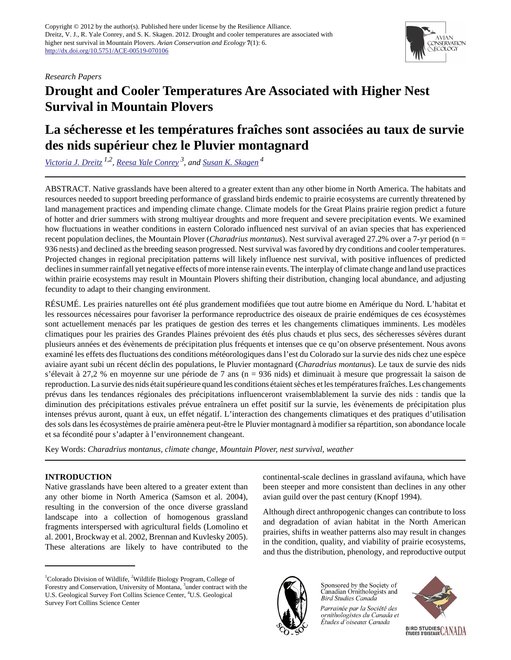*Research Papers*



# **Drought and Cooler Temperatures Are Associated with Higher Nest Survival in Mountain Plovers**

# **La sécheresse et les températures fraîches sont associées au taux de survie des nids supérieur chez le Pluvier montagnard**

*[Victoria J. Dreitz](mailto:Victoria.Dreitz@cfc.umt.edu) 1,2 , [Reesa Yale Conrey](mailto:ryale@usgs.gov) 3, and [Susan K. Skagen](mailto:skagens@usgs.gov)<sup>4</sup>*

ABSTRACT. Native grasslands have been altered to a greater extent than any other biome in North America. The habitats and resources needed to support breeding performance of grassland birds endemic to prairie ecosystems are currently threatened by land management practices and impending climate change. Climate models for the Great Plains prairie region predict a future of hotter and drier summers with strong multiyear droughts and more frequent and severe precipitation events. We examined how fluctuations in weather conditions in eastern Colorado influenced nest survival of an avian species that has experienced recent population declines, the Mountain Plover (*Charadrius montanus*). Nest survival averaged 27.2% over a 7-yr period (n = 936 nests) and declined as the breeding season progressed. Nest survival was favored by dry conditions and cooler temperatures. Projected changes in regional precipitation patterns will likely influence nest survival, with positive influences of predicted declines in summer rainfall yet negative effects of more intense rain events. The interplay of climate change and land use practices within prairie ecosystems may result in Mountain Plovers shifting their distribution, changing local abundance, and adjusting fecundity to adapt to their changing environment.

RÉSUMÉ. Les prairies naturelles ont été plus grandement modifiées que tout autre biome en Amérique du Nord. L'habitat et les ressources nécessaires pour favoriser la performance reproductrice des oiseaux de prairie endémiques de ces écosystèmes sont actuellement menacés par les pratiques de gestion des terres et les changements climatiques imminents. Les modèles climatiques pour les prairies des Grandes Plaines prévoient des étés plus chauds et plus secs, des sécheresses sévères durant plusieurs années et des évènements de précipitation plus fréquents et intenses que ce qu'on observe présentement. Nous avons examiné les effets des fluctuations des conditions météorologiques dans l'est du Colorado sur la survie des nids chez une espèce aviaire ayant subi un récent déclin des populations, le Pluvier montagnard (*Charadrius montanus*). Le taux de survie des nids s'élevait à 27,2 % en moyenne sur une période de 7 ans (n = 936 nids) et diminuait à mesure que progressait la saison de reproduction. La survie des nids était supérieure quand les conditions étaient sèches et les températures fraîches. Les changements prévus dans les tendances régionales des précipitations influenceront vraisemblablement la survie des nids : tandis que la diminution des précipitations estivales prévue entraînera un effet positif sur la survie, les évènements de précipitation plus intenses prévus auront, quant à eux, un effet négatif. L'interaction des changements climatiques et des pratiques d'utilisation des sols dans les écosystèmes de prairie amènera peut-être le Pluvier montagnard à modifier sa répartition, son abondance locale et sa fécondité pour s'adapter à l'environnement changeant.

Key Words: *Charadrius montanus, climate change, Mountain Plover, nest survival, weather*

### **INTRODUCTION**

Native grasslands have been altered to a greater extent than any other biome in North America (Samson et al. 2004), resulting in the conversion of the once diverse grassland landscape into a collection of homogenous grassland fragments interspersed with agricultural fields (Lomolino et al. 2001, Brockway et al. 2002, Brennan and Kuvlesky 2005). These alterations are likely to have contributed to the continental-scale declines in grassland avifauna, which have been steeper and more consistent than declines in any other avian guild over the past century (Knopf 1994).

Although direct anthropogenic changes can contribute to loss and degradation of avian habitat in the North American prairies, shifts in weather patterns also may result in changes in the condition, quality, and viability of prairie ecosystems, and thus the distribution, phenology, and reproductive output



Sponsored by the Society of Canadian Ornithologists and **Bird Studies Canada** 

Parrainée par la Société des ornithologistes du Canada et Études d'oiseaux Canada



<sup>&</sup>lt;sup>1</sup>Colorado Division of Wildlife, <sup>2</sup>Wildlife Biology Program, College of Forestry and Conservation, University of Montana, <sup>3</sup>under contract with the U.S. Geological Survey Fort Collins Science Center, <sup>4</sup>U.S. Geological Survey Fort Collins Science Center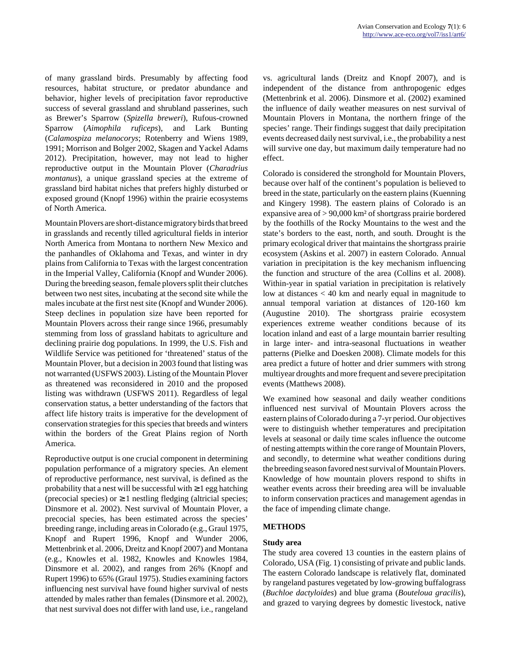of many grassland birds. Presumably by affecting food resources, habitat structure, or predator abundance and behavior, higher levels of precipitation favor reproductive success of several grassland and shrubland passerines, such as Brewer's Sparrow (*Spizella breweri*), Rufous-crowned Sparrow (*Aimophila ruficeps*), and Lark Bunting (*Calamospiza melanocorys*; Rotenberry and Wiens 1989, 1991; Morrison and Bolger 2002, Skagen and Yackel Adams 2012). Precipitation, however, may not lead to higher reproductive output in the Mountain Plover (*Charadrius montanus*), a unique grassland species at the extreme of grassland bird habitat niches that prefers highly disturbed or exposed ground (Knopf 1996) within the prairie ecosystems of North America.

Mountain Plovers are short-distance migratory birds that breed in grasslands and recently tilled agricultural fields in interior North America from Montana to northern New Mexico and the panhandles of Oklahoma and Texas, and winter in dry plains from California to Texas with the largest concentration in the Imperial Valley, California (Knopf and Wunder 2006). During the breeding season, female plovers split their clutches between two nest sites, incubating at the second site while the males incubate at the first nest site (Knopf and Wunder 2006). Steep declines in population size have been reported for Mountain Plovers across their range since 1966, presumably stemming from loss of grassland habitats to agriculture and declining prairie dog populations. In 1999, the U.S. Fish and Wildlife Service was petitioned for 'threatened' status of the Mountain Plover, but a decision in 2003 found that listing was not warranted (USFWS 2003). Listing of the Mountain Plover as threatened was reconsidered in 2010 and the proposed listing was withdrawn (USFWS 2011). Regardless of legal conservation status, a better understanding of the factors that affect life history traits is imperative for the development of conservation strategies for this species that breeds and winters within the borders of the Great Plains region of North America.

Reproductive output is one crucial component in determining population performance of a migratory species. An element of reproductive performance, nest survival, is defined as the probability that a nest will be successful with  $\geq 1$  egg hatching (precocial species) or  $\geq 1$  nestling fledging (altricial species; Dinsmore et al. 2002). Nest survival of Mountain Plover, a precocial species, has been estimated across the species' breeding range, including areas in Colorado (e.g., Graul 1975, Knopf and Rupert 1996, Knopf and Wunder 2006, Mettenbrink et al. 2006, Dreitz and Knopf 2007) and Montana (e.g., Knowles et al. 1982, Knowles and Knowles 1984, Dinsmore et al. 2002), and ranges from 26% (Knopf and Rupert 1996) to 65% (Graul 1975). Studies examining factors influencing nest survival have found higher survival of nests attended by males rather than females (Dinsmore et al. 2002), that nest survival does not differ with land use, i.e., rangeland vs. agricultural lands (Dreitz and Knopf 2007), and is independent of the distance from anthropogenic edges (Mettenbrink et al. 2006). Dinsmore et al. (2002) examined the influence of daily weather measures on nest survival of Mountain Plovers in Montana, the northern fringe of the species' range. Their findings suggest that daily precipitation events decreased daily nest survival, i.e., the probability a nest will survive one day, but maximum daily temperature had no effect.

Colorado is considered the stronghold for Mountain Plovers, because over half of the continent's population is believed to breed in the state, particularly on the eastern plains (Kuenning and Kingery 1998). The eastern plains of Colorado is an expansive area of > 90,000 km² of shortgrass prairie bordered by the foothills of the Rocky Mountains to the west and the state's borders to the east, north, and south. Drought is the primary ecological driver that maintains the shortgrass prairie ecosystem (Askins et al. 2007) in eastern Colorado. Annual variation in precipitation is the key mechanism influencing the function and structure of the area (Collins et al. 2008). Within-year in spatial variation in precipitation is relatively low at distances < 40 km and nearly equal in magnitude to annual temporal variation at distances of 120-160 km (Augustine 2010). The shortgrass prairie ecosystem experiences extreme weather conditions because of its location inland and east of a large mountain barrier resulting in large inter- and intra-seasonal fluctuations in weather patterns (Pielke and Doesken 2008). Climate models for this area predict a future of hotter and drier summers with strong multiyear droughts and more frequent and severe precipitation events (Matthews 2008).

We examined how seasonal and daily weather conditions influenced nest survival of Mountain Plovers across the eastern plains of Colorado during a 7-yr period. Our objectives were to distinguish whether temperatures and precipitation levels at seasonal or daily time scales influence the outcome of nesting attempts within the core range of Mountain Plovers, and secondly, to determine what weather conditions during the breeding season favored nest survival of Mountain Plovers. Knowledge of how mountain plovers respond to shifts in weather events across their breeding area will be invaluable to inform conservation practices and management agendas in the face of impending climate change.

#### **METHODS**

#### **Study area**

The study area covered 13 counties in the eastern plains of Colorado, USA (Fig. 1) consisting of private and public lands. The eastern Colorado landscape is relatively flat, dominated by rangeland pastures vegetated by low-growing buffalograss (*Buchloe dactyloides*) and blue grama (*Bouteloua gracilis*), and grazed to varying degrees by domestic livestock, native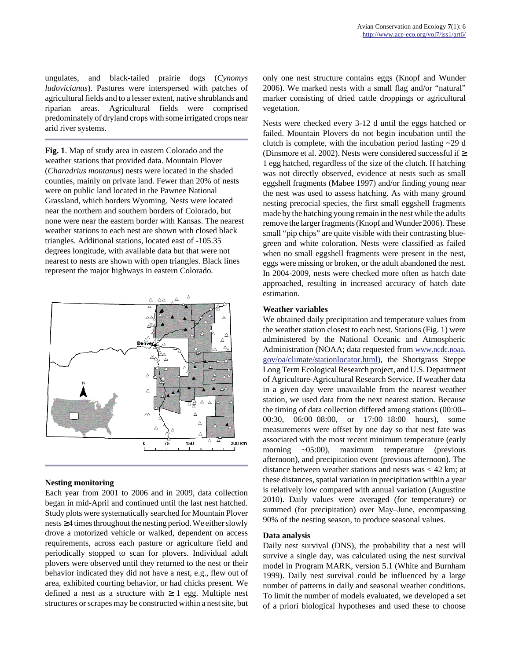ungulates, and black-tailed prairie dogs (*Cynomys ludovicianus*). Pastures were interspersed with patches of agricultural fields and to a lesser extent, native shrublands and riparian areas. Agricultural fields were comprised predominately of dryland crops with some irrigated crops near arid river systems.

**Fig. 1**. Map of study area in eastern Colorado and the weather stations that provided data. Mountain Plover (*Charadrius montanus*) nests were located in the shaded counties, mainly on private land. Fewer than 20% of nests were on public land located in the Pawnee National Grassland, which borders Wyoming. Nests were located near the northern and southern borders of Colorado, but none were near the eastern border with Kansas. The nearest weather stations to each nest are shown with closed black triangles. Additional stations, located east of -105.35 degrees longitude, with available data but that were not nearest to nests are shown with open triangles. Black lines represent the major highways in eastern Colorado.



#### **Nesting monitoring**

Each year from 2001 to 2006 and in 2009, data collection began in mid-April and continued until the last nest hatched. Study plots were systematically searched for Mountain Plover nests ≥ 4 times throughout the nesting period. We either slowly drove a motorized vehicle or walked, dependent on access requirements, across each pasture or agriculture field and periodically stopped to scan for plovers. Individual adult plovers were observed until they returned to the nest or their behavior indicated they did not have a nest, e.g., flew out of area, exhibited courting behavior, or had chicks present. We defined a nest as a structure with  $\geq 1$  egg. Multiple nest structures or scrapes may be constructed within a nest site, but only one nest structure contains eggs (Knopf and Wunder 2006). We marked nests with a small flag and/or "natural" marker consisting of dried cattle droppings or agricultural vegetation.

Nests were checked every 3-12 d until the eggs hatched or failed. Mountain Plovers do not begin incubation until the clutch is complete, with the incubation period lasting ~29 d (Dinsmore et al. 2002). Nests were considered successful if  $\geq$ 1 egg hatched, regardless of the size of the clutch. If hatching was not directly observed, evidence at nests such as small eggshell fragments (Mabee 1997) and/or finding young near the nest was used to assess hatching. As with many ground nesting precocial species, the first small eggshell fragments made by the hatching young remain in the nest while the adults remove the larger fragments (Knopf and Wunder 2006). These small "pip chips" are quite visible with their contrasting bluegreen and white coloration. Nests were classified as failed when no small eggshell fragments were present in the nest, eggs were missing or broken, or the adult abandoned the nest. In 2004-2009, nests were checked more often as hatch date approached, resulting in increased accuracy of hatch date estimation.

#### **Weather variables**

We obtained daily precipitation and temperature values from the weather station closest to each nest. Stations (Fig. 1) were administered by the National Oceanic and Atmospheric Administration (NOAA; data requested from [www.ncdc.noaa.](http://www.ncdc.noaa.gov/oa/climate/stationlocator.html) [gov/oa/climate/stationlocator.html](http://www.ncdc.noaa.gov/oa/climate/stationlocator.html)), the Shortgrass Steppe Long Term Ecological Research project, and U.S. Department of Agriculture-Agricultural Research Service. If weather data in a given day were unavailable from the nearest weather station, we used data from the next nearest station. Because the timing of data collection differed among stations (00:00– 00:30, 06:00–08:00, or 17:00–18:00 hours), some measurements were offset by one day so that nest fate was associated with the most recent minimum temperature (early morning ~05:00), maximum temperature (previous afternoon), and precipitation event (previous afternoon). The distance between weather stations and nests was < 42 km; at these distances, spatial variation in precipitation within a year is relatively low compared with annual variation (Augustine 2010). Daily values were averaged (for temperature) or summed (for precipitation) over May–June, encompassing 90% of the nesting season, to produce seasonal values.

#### **Data analysis**

Daily nest survival (DNS), the probability that a nest will survive a single day, was calculated using the nest survival model in Program MARK, version 5.1 (White and Burnham 1999). Daily nest survival could be influenced by a large number of patterns in daily and seasonal weather conditions. To limit the number of models evaluated, we developed a set of a priori biological hypotheses and used these to choose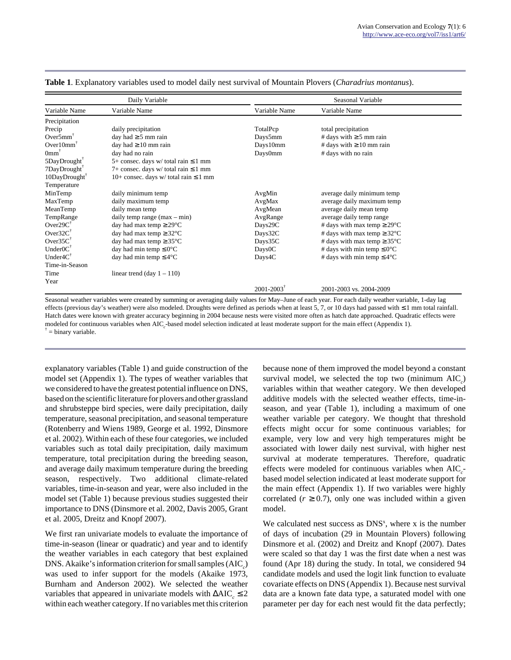| Daily Variable                              |                                              | Seasonal Variable          |                                          |  |
|---------------------------------------------|----------------------------------------------|----------------------------|------------------------------------------|--|
| Variable Name                               | Variable Name                                | Variable Name              | Variable Name                            |  |
| Precipitation                               |                                              |                            |                                          |  |
| Precip                                      | daily precipitation                          | TotalPcp                   | total precipitation                      |  |
| Over $5$ mm <sup><math>\dagger</math></sup> | day had $\geq$ 5 mm rain                     | Days5mm                    | # days with $\geq$ 5 mm rain             |  |
| $Over10mm^T$                                | day had $\geq 10$ mm rain                    | Days10mm                   | # days with $\geq 10$ mm rain            |  |
| 0 <sub>mm</sub> <sup>†</sup>                | day had no rain                              | Days0mm                    | # days with no rain                      |  |
| $5$ DayDrought $^7$                         | 5+ consec. days $w$ / total rain $\leq 1$ mm |                            |                                          |  |
| $7$ DayDrought $^7$                         | 7+ consec. days w/ total rain $\leq 1$ mm    |                            |                                          |  |
| $10$ DayDrought $7$                         | 10+ consec. days w/ total rain $\leq 1$ mm   |                            |                                          |  |
| Temperature                                 |                                              |                            |                                          |  |
| MinTemp                                     | daily minimum temp                           | AvgMin                     | average daily minimum temp               |  |
| MaxTemp                                     | daily maximum temp                           | AvgMax                     | average daily maximum temp               |  |
| MeanTemp                                    | daily mean temp                              | AvgMean                    | average daily mean temp                  |  |
| TempRange                                   | daily temp range $(max - min)$               | AvgRange                   | average daily temp range                 |  |
| $Over29C^T$                                 | day had max temp $\geq$ 29 $\degree$ C       | Days29C                    | # days with max temp $\geq 29^{\circ}$ C |  |
| Over $32C^{\dagger}$                        | day had max temp $\geq 32^{\circ}$ C         | Days32C                    | # days with max temp $\geq 32^{\circ}$ C |  |
| Over $35C^{\dagger}$                        | day had max temp $\geq 35^{\circ}$ C         | Days35C                    | # days with max temp $\geq 35^{\circ}$ C |  |
| $UnderOC^{\dagger}$                         | day had min temp $\leq 0^{\circ}C$           | Days0C                     | # days with min temp $\leq 0^{\circ}C$   |  |
| Under $4C^{\dagger}$                        | day had min temp $\leq 4^{\circ}$ C          | Days4C                     | # days with min temp $\leq 4^{\circ}C$   |  |
| Time-in-Season                              |                                              |                            |                                          |  |
| Time                                        | linear trend (day $1 - 110$ )                |                            |                                          |  |
| Year                                        |                                              |                            |                                          |  |
|                                             |                                              | $2001 - 2003$ <sup>†</sup> | 2001-2003 vs. 2004-2009                  |  |

**Table 1**. Explanatory variables used to model daily nest survival of Mountain Plovers (*Charadrius montanus*).

Seasonal weather variables were created by summing or averaging daily values for May–June of each year. For each daily weather variable, 1-day lag effects (previous day's weather) were also modeled. Droughts were defined as periods when at least 5, 7, or 10 days had passed with ≤ 1 mm total rainfall. Hatch dates were known with greater accuracy beginning in 2004 because nests were visited more often as hatch date approached. Quadratic effects were modeled for continuous variables when AIC<sub>c</sub>-based model selection indicated at least moderate support for the main effect (Appendix 1).  $\dagger$  = binary variable.

explanatory variables (Table 1) and guide construction of the model set (Appendix 1). The types of weather variables that we considered to have the greatest potential influence on DNS, based on the scientific literature for plovers and other grassland and shrubsteppe bird species, were daily precipitation, daily temperature, seasonal precipitation, and seasonal temperature (Rotenberry and Wiens 1989, George et al. 1992, Dinsmore et al. 2002). Within each of these four categories, we included variables such as total daily precipitation, daily maximum temperature, total precipitation during the breeding season, and average daily maximum temperature during the breeding season, respectively. Two additional climate-related variables, time-in-season and year, were also included in the model set (Table 1) because previous studies suggested their importance to DNS (Dinsmore et al. 2002, Davis 2005, Grant et al. 2005, Dreitz and Knopf 2007).

We first ran univariate models to evaluate the importance of time-in-season (linear or quadratic) and year and to identify the weather variables in each category that best explained DNS. Akaike's information criterion for small samples  $(AIC<sub>c</sub>)$ was used to infer support for the models (Akaike 1973, Burnham and Anderson 2002). We selected the weather variables that appeared in univariate models with ΔAIC<sub>*c*</sub> ≤ 2 within each weather category. If no variables met this criterion because none of them improved the model beyond a constant survival model, we selected the top two (minimum  $AIC_c$ ) variables within that weather category. We then developed additive models with the selected weather effects, time-inseason, and year (Table 1), including a maximum of one weather variable per category. We thought that threshold effects might occur for some continuous variables; for example, very low and very high temperatures might be associated with lower daily nest survival, with higher nest survival at moderate temperatures. Therefore, quadratic effects were modeled for continuous variables when AIC<sub>c</sub>based model selection indicated at least moderate support for the main effect (Appendix 1). If two variables were highly correlated  $(r \ge 0.7)$ , only one was included within a given model.

We calculated nest success as  $DNS<sup>x</sup>$ , where x is the number of days of incubation (29 in Mountain Plovers) following Dinsmore et al. (2002) and Dreitz and Knopf (2007). Dates were scaled so that day 1 was the first date when a nest was found (Apr 18) during the study. In total, we considered 94 candidate models and used the logit link function to evaluate covariate effects on DNS (Appendix 1). Because nest survival data are a known fate data type, a saturated model with one parameter per day for each nest would fit the data perfectly;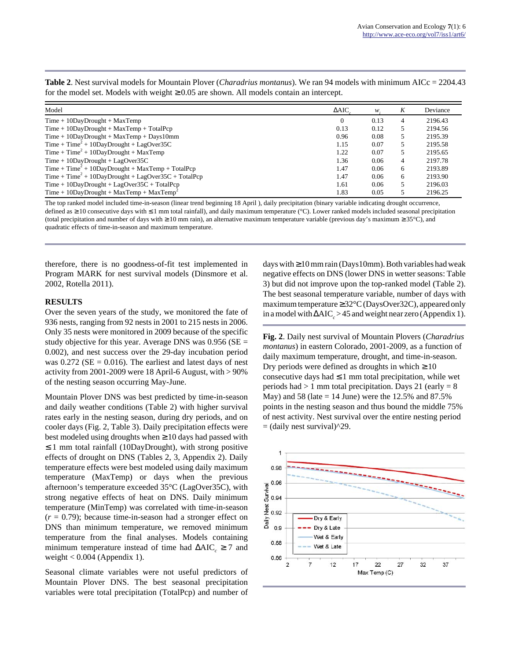| Model                                                   | $\triangle AIC$ | w    | K | Deviance |
|---------------------------------------------------------|-----------------|------|---|----------|
| $Time + 10$ DayDrought + MaxTemp                        |                 | 0.13 | 4 | 2196.43  |
| $Time + 10$ DayDrought + MaxTemp + TotalPcp             | 0.13            | 0.12 | 5 | 2194.56  |
| $Time + 10$ DayDrought + MaxTemp + Days10mm             | 0.96            | 0.08 | 5 | 2195.39  |
| $Time + Time^2 + 10$ DayDrought + LagOver35C            | 1.15            | 0.07 | 5 | 2195.58  |
| $Time + Time^2 + 10DayDrought + MaxTemp$                | 1.22            | 0.07 | 5 | 2195.65  |
| $Time + 10$ DayDrought + LagOver35C                     | 1.36            | 0.06 | 4 | 2197.78  |
| $Time + Time^2 + 10DayDrought + MaxTemp + TotalPop$     | 1.47            | 0.06 | 6 | 2193.89  |
| $Time + Time^2 + 10DayDropught + LagOver35C + TotalPop$ | 1.47            | 0.06 | 6 | 2193.90  |
| $Time + 10$ DayDrought + LagOver $35C$ + TotalPcp       | 1.61            | 0.06 | 5 | 2196.03  |
| Time + $10$ DayDrought + MaxTemp + MaxTemp <sup>2</sup> | 1.83            | 0.05 |   | 2196.25  |

**Table 2**. Nest survival models for Mountain Plover (*Charadrius montanus*). We ran 94 models with minimum AICc = 2204.43 for the model set. Models with weight  $\geq 0.05$  are shown. All models contain an intercept.

The top ranked model included time-in-season (linear trend beginning 18 April ), daily precipitation (binary variable indicating drought occurrence, defined as ≥ 10 consecutive days with ≤ 1 mm total rainfall), and daily maximum temperature (°C). Lower ranked models included seasonal precipitation (total precipitation and number of days with  $\geq 10$  mm rain), an alternative maximum temperature variable (previous day's maximum  $\geq 35^{\circ}$ C), and quadratic effects of time-in-season and maximum temperature.

therefore, there is no goodness-of-fit test implemented in Program MARK for nest survival models (Dinsmore et al. 2002, Rotella 2011).

#### **RESULTS**

Over the seven years of the study, we monitored the fate of 936 nests, ranging from 92 nests in 2001 to 215 nests in 2006. Only 35 nests were monitored in 2009 because of the specific study objective for this year. Average DNS was  $0.956$  (SE = 0.002), and nest success over the 29-day incubation period was  $0.272$  (SE = 0.016). The earliest and latest days of nest activity from 2001-2009 were 18 April-6 August, with > 90% of the nesting season occurring May-June.

Mountain Plover DNS was best predicted by time-in-season and daily weather conditions (Table 2) with higher survival rates early in the nesting season, during dry periods, and on cooler days (Fig. 2, Table 3). Daily precipitation effects were best modeled using droughts when  $\geq 10$  days had passed with ≤ 1 mm total rainfall (10DayDrought), with strong positive effects of drought on DNS (Tables 2, 3, Appendix 2). Daily temperature effects were best modeled using daily maximum temperature (MaxTemp) or days when the previous afternoon's temperature exceeded 35°C (LagOver35C), with strong negative effects of heat on DNS. Daily minimum temperature (MinTemp) was correlated with time-in-season  $(r = 0.79)$ ; because time-in-season had a stronger effect on DNS than minimum temperature, we removed minimum temperature from the final analyses. Models containing minimum temperature instead of time had  $\Delta AIC_c \geq 7$  and weight  $< 0.004$  (Appendix 1).

Seasonal climate variables were not useful predictors of Mountain Plover DNS. The best seasonal precipitation variables were total precipitation (TotalPcp) and number of

days with ≥ 10 mm rain (Days10mm). Both variables had weak negative effects on DNS (lower DNS in wetter seasons: Table 3) but did not improve upon the top-ranked model (Table 2). The best seasonal temperature variable, number of days with maximum temperature ≥ 32°C (DaysOver32C), appeared only in a model with  $\Delta AIC_{c} > 45$  and weight near zero (Appendix 1).

**Fig. 2**. Daily nest survival of Mountain Plovers (*Charadrius montanus*) in eastern Colorado, 2001-2009, as a function of daily maximum temperature, drought, and time-in-season. Dry periods were defined as droughts in which  $\geq 10$ consecutive days had  $\leq 1$  mm total precipitation, while wet periods had  $> 1$  mm total precipitation. Days 21 (early  $= 8$ ) May) and 58 (late = 14 June) were the  $12.5%$  and  $87.5%$ points in the nesting season and thus bound the middle 75% of nest activity. Nest survival over the entire nesting period  $=$  (daily nest survival) $^2$ 29.

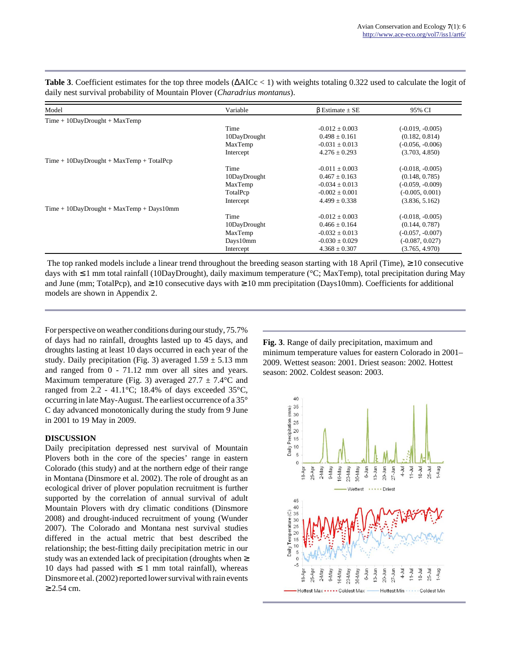| Model                                       | Variable     | $\beta$ Estimate $\pm$ SE | 95% CI             |
|---------------------------------------------|--------------|---------------------------|--------------------|
| $Time + 10$ DayDrought + MaxTemp            |              |                           |                    |
|                                             | Time         | $-0.012 \pm 0.003$        | $(-0.019, -0.005)$ |
|                                             | 10DayDrought | $0.498 + 0.161$           | (0.182, 0.814)     |
|                                             | MaxTemp      | $-0.031 \pm 0.013$        | $(-0.056, -0.006)$ |
|                                             | Intercept    | $4.276 \pm 0.293$         | (3.703, 4.850)     |
| $Time + 10$ DayDrought + MaxTemp + TotalPcp |              |                           |                    |
|                                             | Time         | $-0.011 \pm 0.003$        | $(-0.018, -0.005)$ |
|                                             | 10DayDrought | $0.467 \pm 0.163$         | (0.148, 0.785)     |
|                                             | MaxTemp      | $-0.034 \pm 0.013$        | $(-0.059, -0.009)$ |
|                                             | TotalPcp     | $-0.002 \pm 0.001$        | $(-0.005, 0.001)$  |
|                                             | Intercept    | $4.499 \pm 0.338$         | (3.836, 5.162)     |
| $Time + 10$ DayDrought + MaxTemp + Days10mm |              |                           |                    |
|                                             | Time         | $-0.012 \pm 0.003$        | $(-0.018, -0.005)$ |
|                                             | 10DayDrought | $0.466 \pm 0.164$         | (0.144, 0.787)     |
|                                             | MaxTemp      | $-0.032 \pm 0.013$        | $(-0.057, -0.007)$ |
|                                             | Days10mm     | $-0.030 \pm 0.029$        | $(-0.087, 0.027)$  |
|                                             | Intercept    | $4.368 \pm 0.307$         | (3.765, 4.970)     |

Table 3. Coefficient estimates for the top three models (ΔAICc < 1) with weights totaling 0.322 used to calculate the logit of daily nest survival probability of Mountain Plover (*Charadrius montanus*).

The top ranked models include a linear trend throughout the breeding season starting with 18 April (Time),  $\geq 10$  consecutive days with ≤ 1 mm total rainfall (10DayDrought), daily maximum temperature (°C; MaxTemp), total precipitation during May and June (mm; TotalPcp), and  $\geq 10$  consecutive days with  $\geq 10$  mm precipitation (Days10mm). Coefficients for additional models are shown in Appendix 2.

For perspective on weather conditions during our study, 75.7% of days had no rainfall, droughts lasted up to 45 days, and droughts lasting at least 10 days occurred in each year of the study. Daily precipitation (Fig. 3) averaged  $1.59 \pm 5.13$  mm and ranged from 0 - 71.12 mm over all sites and years. Maximum temperature (Fig. 3) averaged  $27.7 \pm 7.4$  °C and ranged from  $2.2$  - 41.1°C; 18.4% of days exceeded 35°C, occurring in late May-August. The earliest occurrence of a 35° C day advanced monotonically during the study from 9 June in 2001 to 19 May in 2009.

#### **DISCUSSION**

Daily precipitation depressed nest survival of Mountain Plovers both in the core of the species' range in eastern Colorado (this study) and at the northern edge of their range in Montana (Dinsmore et al. 2002). The role of drought as an ecological driver of plover population recruitment is further supported by the correlation of annual survival of adult Mountain Plovers with dry climatic conditions (Dinsmore 2008) and drought-induced recruitment of young (Wunder 2007). The Colorado and Montana nest survival studies differed in the actual metric that best described the relationship; the best-fitting daily precipitation metric in our study was an extended lack of precipitation (droughts when ≥ 10 days had passed with  $\leq$  1 mm total rainfall), whereas Dinsmore et al. (2002) reported lower survival with rain events ≥ 2.54 cm.

**Fig. 3**. Range of daily precipitation, maximum and minimum temperature values for eastern Colorado in 2001– 2009. Wettest season: 2001. Driest season: 2002. Hottest season: 2002. Coldest season: 2003.

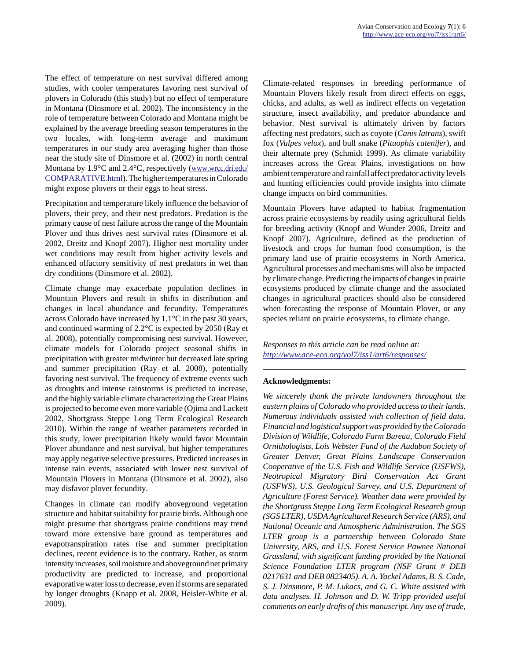The effect of temperature on nest survival differed among studies, with cooler temperatures favoring nest survival of plovers in Colorado (this study) but no effect of temperature in Montana (Dinsmore et al. 2002). The inconsistency in the role of temperature between Colorado and Montana might be explained by the average breeding season temperatures in the two locales, with long-term average and maximum temperatures in our study area averaging higher than those near the study site of Dinsmore et al. (2002) in north central Montana by 1.9°C and 2.4°C, respectively [\(www.wrcc.dri.edu/](http://www.wrcc.dri.edu/COMPARATIVE.html) [COMPARATIVE.html](http://www.wrcc.dri.edu/COMPARATIVE.html)). The higher temperatures in Colorado might expose plovers or their eggs to heat stress.

Precipitation and temperature likely influence the behavior of plovers, their prey, and their nest predators. Predation is the primary cause of nest failure across the range of the Mountain Plover and thus drives nest survival rates (Dinsmore et al. 2002, Dreitz and Knopf 2007). Higher nest mortality under wet conditions may result from higher activity levels and enhanced olfactory sensitivity of nest predators in wet than dry conditions (Dinsmore et al. 2002).

Climate change may exacerbate population declines in Mountain Plovers and result in shifts in distribution and changes in local abundance and fecundity. Temperatures across Colorado have increased by 1.1°C in the past 30 years, and continued warming of 2.2°C is expected by 2050 (Ray et al. 2008), potentially compromising nest survival. However, climate models for Colorado project seasonal shifts in precipitation with greater midwinter but decreased late spring and summer precipitation (Ray et al. 2008), potentially favoring nest survival. The frequency of extreme events such as droughts and intense rainstorms is predicted to increase, and the highly variable climate characterizing the Great Plains is projected to become even more variable (Ojima and Lackett 2002, Shortgrass Steppe Long Term Ecological Research 2010). Within the range of weather parameters recorded in this study, lower precipitation likely would favor Mountain Plover abundance and nest survival, but higher temperatures may apply negative selective pressures. Predicted increases in intense rain events, associated with lower nest survival of Mountain Plovers in Montana (Dinsmore et al. 2002), also may disfavor plover fecundity.

Changes in climate can modify aboveground vegetation structure and habitat suitability for prairie birds. Although one might presume that shortgrass prairie conditions may trend toward more extensive bare ground as temperatures and evapotranspiration rates rise and summer precipitation declines, recent evidence is to the contrary. Rather, as storm intensity increases, soil moisture and aboveground net primary productivity are predicted to increase, and proportional evaporative water loss to decrease, even if storms are separated by longer droughts (Knapp et al. 2008, Heisler-White et al. 2009).

Climate-related responses in breeding performance of Mountain Plovers likely result from direct effects on eggs, chicks, and adults, as well as indirect effects on vegetation structure, insect availability, and predator abundance and behavior. Nest survival is ultimately driven by factors affecting nest predators, such as coyote (*Canis latrans*), swift fox (*Vulpes velox*), and bull snake (*Pituophis catenifer*), and their alternate prey (Schmidt 1999). As climate variability increases across the Great Plains, investigations on how ambient temperature and rainfall affect predator activity levels and hunting efficiencies could provide insights into climate change impacts on bird communities.

Mountain Plovers have adapted to habitat fragmentation across prairie ecosystems by readily using agricultural fields for breeding activity (Knopf and Wunder 2006, Dreitz and Knopf 2007). Agriculture, defined as the production of livestock and crops for human food consumption, is the primary land use of prairie ecosystems in North America. Agricultural processes and mechanisms will also be impacted by climate change. Predicting the impacts of changes in prairie ecosystems produced by climate change and the associated changes in agricultural practices should also be considered when forecasting the response of Mountain Plover, or any species reliant on prairie ecosystems, to climate change.

*Responses to this article can be read online at: <http://www.ace-eco.org/vol7/iss1/art6/responses/>*

#### **Acknowledgments:**

*We sincerely thank the private landowners throughout the eastern plains of Colorado who provided access to their lands. Numerous individuals assisted with collection of field data. Financial and logistical support was provided by the Colorado Division of Wildlife, Colorado Farm Bureau, Colorado Field Ornithologists, Lois Webster Fund of the Audubon Society of Greater Denver, Great Plains Landscape Conservation Cooperative of the U.S. Fish and Wildlife Service (USFWS), Neotropical Migratory Bird Conservation Act Grant (USFWS), U.S. Geological Survey, and U.S. Department of Agriculture (Forest Service). Weather data were provided by the Shortgrass Steppe Long Term Ecological Research group (SGS LTER), USDA Agricultural Research Service (ARS), and National Oceanic and Atmospheric Administration. The SGS LTER group is a partnership between Colorado State University, ARS, and U.S. Forest Service Pawnee National Grassland, with significant funding provided by the National Science Foundation LTER program (NSF Grant # DEB 0217631 and DEB 0823405). A. A. Yackel Adams, B. S. Cade, S. J. Dinsmore, P. M. Lukacs, and G. C. White assisted with data analyses. H. Johnson and D. W. Tripp provided useful comments on early drafts of this manuscript. Any use of trade,*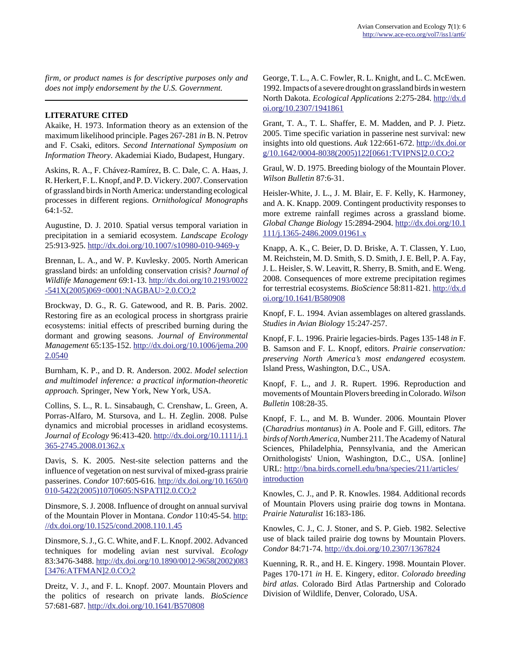*firm, or product names is for descriptive purposes only and does not imply endorsement by the U.S. Government.*

## **LITERATURE CITED**

Akaike, H. 1973. Information theory as an extension of the maximum likelihood principle. Pages 267-281 *in* B. N. Petrov and F. Csaki, editors. *Second International Symposium on Information Theory*. Akademiai Kiado, Budapest, Hungary.

Askins, R. A., F. Chávez-Ramírez, B. C. Dale, C. A. Haas, J. R. Herkert, F. L. Knopf, and P. D. Vickery. 2007. Conservation of grassland birds in North America: understanding ecological processes in different regions. *Ornithological Monographs* 64:1-52.

Augustine, D. J. 2010. Spatial versus temporal variation in precipitation in a semiarid ecosystem. *Landscape Ecology* 25:913-925.<http://dx.doi.org/10.1007/s10980-010-9469-y>

Brennan, L. A., and W. P. Kuvlesky. 2005. North American grassland birds: an unfolding conservation crisis? *Journal of Wildlife Management* 69:1-13. [http://dx.doi.org/10.2193/0022](http://dx.doi.org/10.2193/0022-541X(2005)069<0001:NAGBAU>2.0.CO;2) [-541X\(2005\)069<0001:NAGBAU>2.0.CO;2](http://dx.doi.org/10.2193/0022-541X(2005)069<0001:NAGBAU>2.0.CO;2) 

Brockway, D. G., R. G. Gatewood, and R. B. Paris. 2002. Restoring fire as an ecological process in shortgrass prairie ecosystems: initial effects of prescribed burning during the dormant and growing seasons. *Journal of Environmental Management* 65:135-152. [http://dx.doi.org/10.1006/jema.200](http://dx.doi.org/10.1006/jema.2002.0540) [2.0540](http://dx.doi.org/10.1006/jema.2002.0540)

Burnham, K. P., and D. R. Anderson. 2002. *Model selection and multimodel inference: a practical information-theoretic approach.* Springer, New York, New York, USA.

Collins, S. L., R. L. Sinsabaugh, C. Crenshaw, L. Green, A. Porras-Alfaro, M. Stursova, and L. H. Zeglin. 2008. Pulse dynamics and microbial processes in aridland ecosystems. *Journal of Ecology* 96:413-420. [http://dx.doi.org/10.1111/j.1](http://dx.doi.org/10.1111/j.1365-2745.2008.01362.x) [365-2745.2008.01362.x](http://dx.doi.org/10.1111/j.1365-2745.2008.01362.x)

Davis, S. K. 2005. Nest-site selection patterns and the influence of vegetation on nest survival of mixed-grass prairie passerines. *Condor* 107:605-616. [http://dx.doi.org/10.1650/0](http://dx.doi.org/10.1650/0010-5422(2005)107[0605:NSPATI]2.0.CO;2) [010-5422\(2005\)107\[0605:NSPATI\]2.0.CO;2](http://dx.doi.org/10.1650/0010-5422(2005)107[0605:NSPATI]2.0.CO;2)

Dinsmore, S. J. 2008. Influence of drought on annual survival of the Mountain Plover in Montana. *Condor* 110:45-54. [http:](http://dx.doi.org/10.1525/cond.2008.110.1.45) [//dx.doi.org/10.1525/cond.2008.110.1.45](http://dx.doi.org/10.1525/cond.2008.110.1.45)

Dinsmore, S. J., G. C. White, and F. L. Knopf. 2002. Advanced techniques for modeling avian nest survival. *Ecology* 83:3476-3488. [http://dx.doi.org/10.1890/0012-9658\(2002\)083](http://dx.doi.org/10.1890/0012-9658(2002)083[3476:ATFMAN]2.0.CO;2) [\[3476:ATFMAN\]2.0.CO;2](http://dx.doi.org/10.1890/0012-9658(2002)083[3476:ATFMAN]2.0.CO;2)

Dreitz, V. J., and F. L. Knopf. 2007. Mountain Plovers and the politics of research on private lands. *BioScience* 57:681-687.<http://dx.doi.org/10.1641/B570808>

George, T. L., A. C. Fowler, R. L. Knight, and L. C. McEwen. 1992. Impacts of a severe drought on grassland birds in western North Dakota. *Ecological Applications* 2:275-284. [http://dx.d](http://dx.doi.org/10.2307/1941861) [oi.org/10.2307/1941861](http://dx.doi.org/10.2307/1941861)

Grant, T. A., T. L. Shaffer, E. M. Madden, and P. J. Pietz. 2005. Time specific variation in passerine nest survival: new insights into old questions. *Auk* 122:661-672. [http://dx.doi.or](http://dx.doi.org/10.1642/0004-8038(2005)122[0661:TVIPNS]2.0.CO;2) [g/10.1642/0004-8038\(2005\)122\[0661:TVIPNS\]2.0.CO;2](http://dx.doi.org/10.1642/0004-8038(2005)122[0661:TVIPNS]2.0.CO;2)

Graul, W. D. 1975. Breeding biology of the Mountain Plover. *Wilson Bulletin* 87:6-31.

Heisler-White, J. L., J. M. Blair, E. F. Kelly, K. Harmoney, and A. K. Knapp. 2009. Contingent productivity responses to more extreme rainfall regimes across a grassland biome. *Global Change Biology* 15:2894-2904. [http://dx.doi.org/10.1](http://dx.doi.org/10.1111/j.1365-2486.2009.01961.x) [111/j.1365-2486.2009.01961.x](http://dx.doi.org/10.1111/j.1365-2486.2009.01961.x) 

Knapp, A. K., C. Beier, D. D. Briske, A. T. Classen, Y. Luo, M. Reichstein, M. D. Smith, S. D. Smith, J. E. Bell, P. A. Fay, J. L. Heisler, S. W. Leavitt, R. Sherry, B. Smith, and E. Weng. 2008. Consequences of more extreme precipitation regimes for terrestrial ecosystems. *BioScience* 58:811-821. [http://dx.d](http://dx.doi.org/10.1641/B580908) [oi.org/10.1641/B580908](http://dx.doi.org/10.1641/B580908)

Knopf, F. L. 1994. Avian assemblages on altered grasslands. *Studies in Avian Biology* 15:247-257.

Knopf, F. L. 1996. Prairie legacies-birds. Pages 135-148 *in* F. B. Samson and F. L. Knopf, editors. *Prairie conservation: preserving North America's most endangered ecosystem.* Island Press, Washington, D.C., USA.

Knopf, F. L., and J. R. Rupert. 1996. Reproduction and movements of Mountain Plovers breeding in Colorado. *Wilson Bulletin* 108:28-35.

Knopf, F. L., and M. B. Wunder. 2006. Mountain Plover (*Charadrius montanus*) *in* A. Poole and F. Gill, editors. *The birds of North America*, Number 211. The Academy of Natural Sciences, Philadelphia, Pennsylvania, and the American Ornithologists' Union, Washington, D.C., USA. [online] URL: [http://bna.birds.cornell.edu/bna/species/211/articles/](http://bna.birds.cornell.edu/bna/species/211/articles/introduction) [introduction](http://bna.birds.cornell.edu/bna/species/211/articles/introduction) 

Knowles, C. J., and P. R. Knowles. 1984. Additional records of Mountain Plovers using prairie dog towns in Montana. *Prairie Naturalist* 16:183-186.

Knowles, C. J., C. J. Stoner, and S. P. Gieb. 1982. Selective use of black tailed prairie dog towns by Mountain Plovers. *Condor* 84:71-74.<http://dx.doi.org/10.2307/1367824>

Kuenning, R. R., and H. E. Kingery. 1998. Mountain Plover. Pages 170-171 *in* H. E. Kingery, editor. *Colorado breeding bird atlas*. Colorado Bird Atlas Partnership and Colorado Division of Wildlife, Denver, Colorado, USA.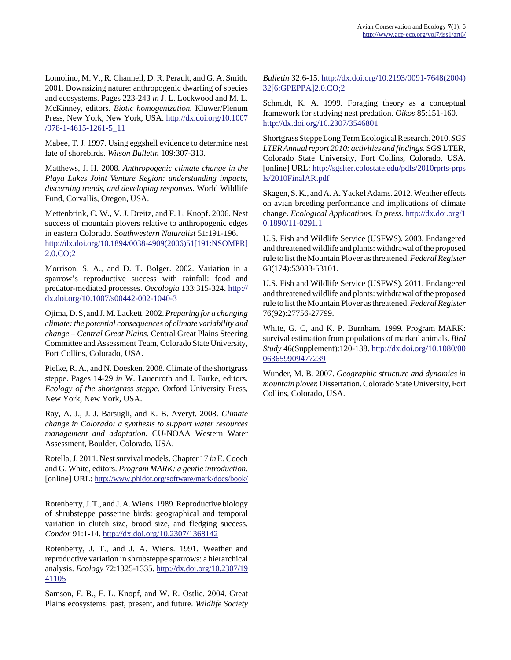Lomolino, M. V., R. Channell, D. R. Perault, and G. A. Smith. 2001. Downsizing nature: anthropogenic dwarfing of species and ecosystems. Pages 223-243 *in* J. L. Lockwood and M. L. McKinney, editors. *Biotic homogenization.* Kluwer/Plenum Press, New York, New York, USA. [http://dx.doi.org/10.1007](http://dx.doi.org/10.1007/978-1-4615-1261-5_11) [/978-1-4615-1261-5\\_11](http://dx.doi.org/10.1007/978-1-4615-1261-5_11)

Mabee, T. J. 1997. Using eggshell evidence to determine nest fate of shorebirds. *Wilson Bulletin* 109:307-313.

Matthews, J. H. 2008. *Anthropogenic climate change in the Playa Lakes Joint Venture Region: understanding impacts, discerning trends, and developing responses.* World Wildlife Fund, Corvallis, Oregon, USA.

Mettenbrink, C. W., V. J. Dreitz, and F. L. Knopf. 2006. Nest success of mountain plovers relative to anthropogenic edges in eastern Colorado. *Southwestern Naturalist* 51:191-196. [http://dx.doi.org/10.1894/0038-4909\(2006\)51\[191:NSOMPR\]](http://dx.doi.org/10.1894/0038-4909(2006)51[191:NSOMPR]2.0.CO;2) [2.0.CO;2](http://dx.doi.org/10.1894/0038-4909(2006)51[191:NSOMPR]2.0.CO;2)

Morrison, S. A., and D. T. Bolger. 2002. Variation in a sparrow's reproductive success with rainfall: food and predator-mediated processes. *Oecologia* 133:315-324. [http://](http://dx.doi.org/10.1007/s00442-002-1040-3) [dx.doi.org/10.1007/s00442-002-1040-3](http://dx.doi.org/10.1007/s00442-002-1040-3)

Ojima, D. S, and J. M. Lackett. 2002. *Preparing for a changing climate: the potential consequences of climate variability and change – Central Great Plains.* Central Great Plains Steering Committee and Assessment Team, Colorado State University, Fort Collins, Colorado, USA.

Pielke, R. A., and N. Doesken. 2008. Climate of the shortgrass steppe. Pages 14-29 *in* W. Lauenroth and I. Burke, editors. *Ecology of the shortgrass steppe.* Oxford University Press, New York, New York, USA.

Ray, A. J., J. J. Barsugli, and K. B. Averyt. 2008. *Climate change in Colorado: a synthesis to support water resources management and adaptation.* CU-NOAA Western Water Assessment, Boulder, Colorado, USA.

Rotella, J. 2011. Nest survival models. Chapter 17 *in* E. Cooch and G. White, editors. *Program MARK: a gentle introduction.* [online] URL:<http://www.phidot.org/software/mark/docs/book/>

Rotenberry, J. T., and J. A. Wiens. 1989. Reproductive biology of shrubsteppe passerine birds: geographical and temporal variation in clutch size, brood size, and fledging success. *Condor* 91:1-14.<http://dx.doi.org/10.2307/1368142>

Rotenberry, J. T., and J. A. Wiens. 1991. Weather and reproductive variation in shrubsteppe sparrows: a hierarchical analysis. *Ecology* 72:1325-1335. [http://dx.doi.org/10.2307/19](http://dx.doi.org/10.2307/1941105) [41105](http://dx.doi.org/10.2307/1941105)

Samson, F. B., F. L. Knopf, and W. R. Ostlie. 2004. Great Plains ecosystems: past, present, and future. *Wildlife Society* *Bulletin* 32:6-15. [http://dx.doi.org/10.2193/0091-7648\(2004\)](http://dx.doi.org/10.2193/0091-7648(2004)32[6:GPEPPA]2.0.CO;2) [32\[6:GPEPPA\]2.0.CO;2](http://dx.doi.org/10.2193/0091-7648(2004)32[6:GPEPPA]2.0.CO;2)

Schmidt, K. A. 1999. Foraging theory as a conceptual framework for studying nest predation. *Oikos* 85:151-160. <http://dx.doi.org/10.2307/3546801>

Shortgrass Steppe Long Term Ecological Research. 2010. *SGS LTER Annual report 2010: activities and findings.* SGS LTER, Colorado State University, Fort Collins, Colorado, USA. [online] URL: [http://sgslter.colostate.edu/pdfs/2010rprts-prps](http://sgslter.colostate.edu/pdfs/2010rprts-prpsls/2010FinalAR.pdf) [ls/2010FinalAR.pdf](http://sgslter.colostate.edu/pdfs/2010rprts-prpsls/2010FinalAR.pdf)

Skagen, S. K., and A. A. Yackel Adams. 2012. Weather effects on avian breeding performance and implications of climate change. *Ecological Applications*. *In press.* [http://dx.doi.org/1](http://dx.doi.org/10.1890/11-0291.1) [0.1890/11-0291.1](http://dx.doi.org/10.1890/11-0291.1)

U.S. Fish and Wildlife Service (USFWS). 2003. Endangered and threatened wildlife and plants: withdrawal of the proposed rule to list the Mountain Plover as threatened. *Federal Register* 68(174):53083-53101.

U.S. Fish and Wildlife Service (USFWS). 2011. Endangered and threatened wildlife and plants: withdrawal of the proposed rule to list the Mountain Plover as threatened. *Federal Register* 76(92):27756-27799.

White, G. C, and K. P. Burnham. 1999. Program MARK: survival estimation from populations of marked animals. *Bird Study* 46(Supplement):120-138. [http://dx.doi.org/10.1080/00](http://dx.doi.org/10.1080/00063659909477239) [063659909477239](http://dx.doi.org/10.1080/00063659909477239)

Wunder, M. B. 2007. *Geographic structure and dynamics in mountain plover.* Dissertation. Colorado State University, Fort Collins, Colorado, USA.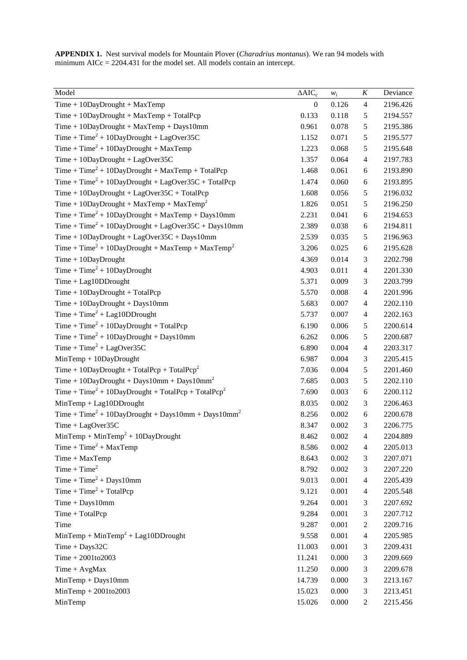**APPENDIX 1.** Nest survival models for Mountain Plover (*Charadrius montanus*). We ran 94 models with minimum AICc = 2204.431 for the model set. All models contain an intercept.

| Model                                                                      | $\Delta AIC_c$   | $W_i$ | $\boldsymbol{K}$        | Deviance |
|----------------------------------------------------------------------------|------------------|-------|-------------------------|----------|
| $Time + 10$ DayDrought + MaxTemp                                           | $\boldsymbol{0}$ | 0.126 | $\overline{4}$          | 2196.426 |
| $Time + 10$ DayDrought + MaxTemp + TotalPcp                                | 0.133            | 0.118 | $\mathfrak s$           | 2194.557 |
| Time + 10DayDrought + MaxTemp + Days10mm                                   | 0.961            | 0.078 | 5                       | 2195.386 |
| Time + Time <sup>2</sup> + 10DayDrought + LagOver35C                       | 1.152            | 0.071 | 5                       | 2195.577 |
| $Time + Time2 + 10DayDropught + MaxTemp$                                   | 1.223            | 0.068 | 5                       | 2195.648 |
| Time + 10DayDrought + LagOver35C                                           | 1.357            | 0.064 | $\overline{4}$          | 2197.783 |
| $Time + Time2 + 10DayDrought + MaxTemp + TotalPop$                         | 1.468            | 0.061 | 6                       | 2193.890 |
| $Time + Time2 + 10DayDropught + LagOver35C + TotalPop$                     | 1.474            | 0.060 | $\epsilon$              | 2193.895 |
| Time + $10$ DayDrought + LagOver35C + TotalPcp                             | 1.608            | 0.056 | 5                       | 2196.032 |
| Time + $10$ DayDrought + MaxTemp + MaxTemp <sup>2</sup>                    | 1.826            | 0.051 | 5                       | 2196.250 |
| $Time + Time2 + 10DayDropught + MaxTemp + Days10mm$                        | 2.231            | 0.041 | 6                       | 2194.653 |
| Time + Time <sup>2</sup> + 10DayDrought + LagOver35C + Days10mm            | 2.389            | 0.038 | $\epsilon$              | 2194.811 |
| $Time + 10$ DayDrought + LagOver35C + Days10mm                             | 2.539            | 0.035 | 5                       | 2196.963 |
| Time + Time <sup>2</sup> + 10DayDrought + MaxTemp + MaxTemp <sup>2</sup>   | 3.206            | 0.025 | $\epsilon$              | 2195.628 |
| $Time + 10$ DayDrought                                                     | 4.369            | 0.014 | 3                       | 2202.798 |
| Time + Time <sup>2</sup> + 10DayDrought                                    | 4.903            | 0.011 | $\overline{\mathbf{4}}$ | 2201.330 |
| $Time + Lag10DDrought$                                                     | 5.371            | 0.009 | 3                       | 2203.799 |
| $Time + 10$ DayDrought + TotalPcp                                          | 5.570            | 0.008 | $\overline{\mathbf{4}}$ | 2201.996 |
| $Time + 10$ DayDrought + Days10mm                                          | 5.683            | 0.007 | $\overline{4}$          | 2202.110 |
| Time + Time <sup>2</sup> + Lag10DDrought                                   | 5.737            | 0.007 | $\overline{4}$          | 2202.163 |
| Time + Time <sup>2</sup> + 10DayDrought + TotalPcp                         | 6.190            | 0.006 | 5                       | 2200.614 |
| Time + Time <sup>2</sup> + 10DayDrought + Days10mm                         | 6.262            | 0.006 | 5                       | 2200.687 |
| Time + Time <sup>2</sup> + LagOver35C                                      | 6.890            | 0.004 | $\overline{4}$          | 2203.317 |
| $MinTemp + 10DayDropught$                                                  | 6.987            | 0.004 | 3                       | 2205.415 |
| Time + $10$ DayDrought + TotalPcp + TotalPcp <sup>2</sup>                  | 7.036            | 0.004 | 5                       | 2201.460 |
| Time + $10$ DayDrought + Days $10$ mm + Days $10$ mm <sup>2</sup>          | 7.685            | 0.003 | 5                       | 2202.110 |
| Time + Time <sup>2</sup> + 10DayDrought + TotalPcp + TotalPcp <sup>2</sup> | 7.690            | 0.003 | $\epsilon$              | 2200.112 |
| $MinTemp + Lag10DDrought$                                                  | 8.035            | 0.002 | 3                       | 2206.463 |
| Time + Time <sup>2</sup> + 10DayDrought + Days10mm + Days10mm <sup>2</sup> | 8.256            | 0.002 | $\epsilon$              | 2200.678 |
| Time + LagOver35C                                                          | 8.347            | 0.002 | 3                       | 2206.775 |
| MinTemp + MinTemp <sup>2</sup> + 10DayDrought                              | 8.462            | 0.002 | 4                       | 2204.889 |
| $Time + Time2 + MaxTemp$                                                   | 8.586            | 0.002 | 4                       | 2205.013 |
| Time + MaxTemp                                                             | 8.643            | 0.002 | 3                       | 2207.071 |
| Time + $Time2$                                                             | 8.792            | 0.002 | 3                       | 2207.220 |
| $Time + Time2 + Days10mm$                                                  | 9.013            | 0.001 | 4                       | 2205.439 |
| Time + $Time2$ + TotalPcp                                                  | 9.121            | 0.001 | 4                       | 2205.548 |
| $Time + Days10mm$                                                          | 9.264            | 0.001 | 3                       | 2207.692 |
| Time + TotalPcp                                                            | 9.284            | 0.001 | 3                       | 2207.712 |
| Time                                                                       | 9.287            | 0.001 | $\boldsymbol{2}$        | 2209.716 |
| $MinTemp + MinTemp2 + Lag10DDrought$                                       | 9.558            | 0.001 | 4                       | 2205.985 |
| $Time + Days32C$                                                           | 11.003           | 0.001 | 3                       | 2209.431 |
| $Time + 2001 to 2003$                                                      | 11.241           | 0.000 | 3                       | 2209.669 |
| Time + AvgMax                                                              | 11.250           | 0.000 | 3                       | 2209.678 |
| $MinTemp + Days10mm$                                                       | 14.739           | 0.000 | 3                       | 2213.167 |
| $MinTemp + 2001 to 2003$                                                   | 15.023           | 0.000 | 3                       | 2213.451 |
| MinTemp                                                                    | 15.026           | 0.000 | 2                       | 2215.456 |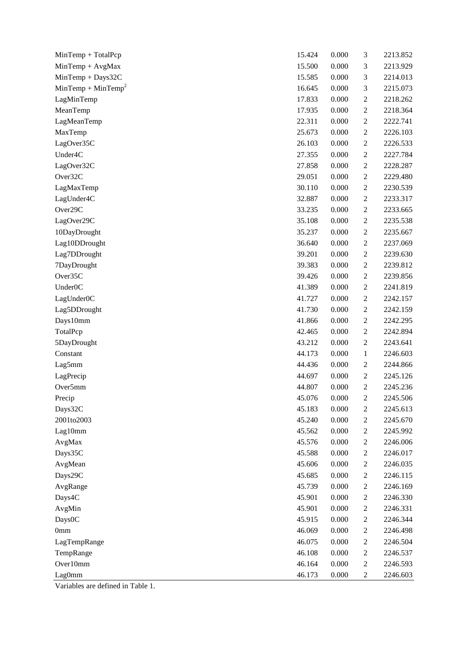| MinTemp + TotalPcp             | 15.424 | 0.000 | 3                | 2213.852 |
|--------------------------------|--------|-------|------------------|----------|
| $MinTemp + AvgMax$             | 15.500 | 0.000 | 3                | 2213.929 |
| MinTemp + Days32C              | 15.585 | 0.000 | 3                | 2214.013 |
| MinTemp + MinTemp <sup>2</sup> | 16.645 | 0.000 | 3                | 2215.073 |
| LagMinTemp                     | 17.833 | 0.000 | $\boldsymbol{2}$ | 2218.262 |
| MeanTemp                       | 17.935 | 0.000 | $\boldsymbol{2}$ | 2218.364 |
| LagMeanTemp                    | 22.311 | 0.000 | $\boldsymbol{2}$ | 2222.741 |
| MaxTemp                        | 25.673 | 0.000 | $\boldsymbol{2}$ | 2226.103 |
| LagOver35C                     | 26.103 | 0.000 | $\boldsymbol{2}$ | 2226.533 |
| Under <sub>4</sub> C           | 27.355 | 0.000 | $\sqrt{2}$       | 2227.784 |
| LagOver32C                     | 27.858 | 0.000 | $\boldsymbol{2}$ | 2228.287 |
| Over32C                        | 29.051 | 0.000 | $\overline{c}$   | 2229.480 |
| LagMaxTemp                     | 30.110 | 0.000 | $\boldsymbol{2}$ | 2230.539 |
| LagUnder4C                     | 32.887 | 0.000 | $\boldsymbol{2}$ | 2233.317 |
| Over29C                        | 33.235 | 0.000 | $\sqrt{2}$       | 2233.665 |
| LagOver29C                     | 35.108 | 0.000 | $\boldsymbol{2}$ | 2235.538 |
| 10DayDrought                   | 35.237 | 0.000 | $\overline{c}$   | 2235.667 |
| Lag10DDrought                  | 36.640 | 0.000 | $\boldsymbol{2}$ | 2237.069 |
| Lag7DDrought                   | 39.201 | 0.000 | $\boldsymbol{2}$ | 2239.630 |
| 7DayDrought                    | 39.383 | 0.000 | $\boldsymbol{2}$ | 2239.812 |
| Over35C                        | 39.426 | 0.000 | $\sqrt{2}$       | 2239.856 |
| Under <sub>0C</sub>            | 41.389 | 0.000 | $\overline{c}$   | 2241.819 |
| LagUnder0C                     | 41.727 | 0.000 | $\boldsymbol{2}$ | 2242.157 |
| Lag5DDrought                   | 41.730 | 0.000 | $\boldsymbol{2}$ | 2242.159 |
| Days10mm                       | 41.866 | 0.000 | $\boldsymbol{2}$ | 2242.295 |
| TotalPcp                       | 42.465 | 0.000 | $\boldsymbol{2}$ | 2242.894 |
| 5DayDrought                    | 43.212 | 0.000 | $\boldsymbol{2}$ | 2243.641 |
| Constant                       | 44.173 | 0.000 | $\mathbf{1}$     | 2246.603 |
| Lag5mm                         | 44.436 | 0.000 | $\boldsymbol{2}$ | 2244.866 |
| LagPrecip                      | 44.697 | 0.000 | $\boldsymbol{2}$ | 2245.126 |
| Over5mm                        | 44.807 | 0.000 | $\overline{c}$   | 2245.236 |
| Precip                         | 45.076 | 0.000 | 2                | 2245.506 |
| Days32C                        | 45.183 | 0.000 | $\boldsymbol{2}$ | 2245.613 |
| 2001to2003                     | 45.240 | 0.000 | $\boldsymbol{2}$ | 2245.670 |
| Lag10mm                        | 45.562 | 0.000 | $\overline{c}$   | 2245.992 |
| AvgMax                         | 45.576 | 0.000 | $\boldsymbol{2}$ | 2246.006 |
| Days35C                        | 45.588 | 0.000 | $\boldsymbol{2}$ | 2246.017 |
| AvgMean                        | 45.606 | 0.000 | $\boldsymbol{2}$ | 2246.035 |
| Days29C                        | 45.685 | 0.000 | $\boldsymbol{2}$ | 2246.115 |
| AvgRange                       | 45.739 | 0.000 | $\boldsymbol{2}$ | 2246.169 |
| Days4C                         | 45.901 | 0.000 | $\sqrt{2}$       | 2246.330 |
| AvgMin                         | 45.901 | 0.000 | $\sqrt{2}$       | 2246.331 |
| Days0C                         | 45.915 | 0.000 | $\boldsymbol{2}$ | 2246.344 |
| 0 <sub>mm</sub>                | 46.069 | 0.000 | $\boldsymbol{2}$ | 2246.498 |
| LagTempRange                   | 46.075 | 0.000 | $\boldsymbol{2}$ | 2246.504 |
| TempRange                      | 46.108 | 0.000 | $\boldsymbol{2}$ | 2246.537 |
| Over10mm                       | 46.164 | 0.000 | $\sqrt{2}$       | 2246.593 |
| Lag0mm                         | 46.173 | 0.000 | $\overline{c}$   | 2246.603 |

Variables are defined in Table 1.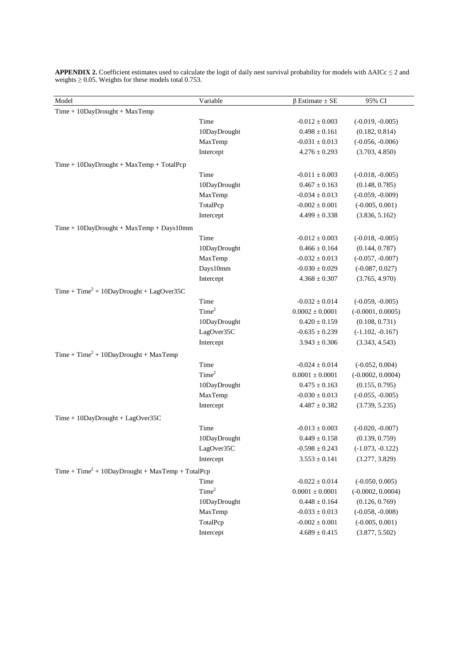| Model                                               | Variable          | $\beta$ Estimate $\pm$ SE | 95% CI              |
|-----------------------------------------------------|-------------------|---------------------------|---------------------|
| $Time + 10$ DayDrought + MaxTemp                    |                   |                           |                     |
|                                                     | Time              | $-0.012 \pm 0.003$        | $(-0.019, -0.005)$  |
|                                                     | 10DayDrought      | $0.498 \pm 0.161$         | (0.182, 0.814)      |
|                                                     | MaxTemp           | $-0.031\pm0.013$          | $(-0.056, -0.006)$  |
|                                                     | Intercept         | $4.276 \pm 0.293$         | (3.703, 4.850)      |
| $Time + 10$ DayDrought + MaxTemp + TotalPcp         |                   |                           |                     |
|                                                     | Time              | $-0.011 \pm 0.003$        | $(-0.018, -0.005)$  |
|                                                     | 10DayDrought      | $0.467 \pm 0.163$         | (0.148, 0.785)      |
|                                                     | MaxTemp           | $-0.034 \pm 0.013$        | $(-0.059, -0.009)$  |
|                                                     | TotalPcp          | $-0.002 \pm 0.001$        | $(-0.005, 0.001)$   |
|                                                     | Intercept         | $4.499 \pm 0.338$         | (3.836, 5.162)      |
| $Time + 10$ DayDrought + MaxTemp + Days10mm         |                   |                           |                     |
|                                                     | Time              | $-0.012 \pm 0.003$        | $(-0.018, -0.005)$  |
|                                                     | 10DayDrought      | $0.466 \pm 0.164$         | (0.144, 0.787)      |
|                                                     | MaxTemp           | $-0.032 \pm 0.013$        | $(-0.057, -0.007)$  |
|                                                     | Days10mm          | $-0.030 \pm 0.029$        | $(-0.087, 0.027)$   |
|                                                     | Intercept         | $4.368 \pm 0.307$         | (3.765, 4.970)      |
| $Time + Time2 + 10DayDropught + LagOver35C$         |                   |                           |                     |
|                                                     | Time              | $-0.032 \pm 0.014$        | $(-0.059, -0.005)$  |
|                                                     | Time <sup>2</sup> | $0.0002 \pm 0.0001$       | $(-0.0001, 0.0005)$ |
|                                                     | 10DayDrought      | $0.420 \pm 0.159$         | (0.108, 0.731)      |
|                                                     | LagOver35C        | $-0.635 \pm 0.239$        | $(-1.102, -0.167)$  |
|                                                     | Intercept         | $3.943 \pm 0.306$         | (3.343, 4.543)      |
| $Time + Time2 + 10DayDropught + MaxTemp$            |                   |                           |                     |
|                                                     | Time              | $-0.024 \pm 0.014$        | $(-0.052, 0.004)$   |
|                                                     | Time <sup>2</sup> | $0.0001 \pm 0.0001$       | $(-0.0002, 0.0004)$ |
|                                                     | 10DayDrought      | $0.475 \pm 0.163$         | (0.155, 0.795)      |
|                                                     | MaxTemp           | $-0.030 \pm 0.013$        | $(-0.055, -0.005)$  |
|                                                     | Intercept         | $4.487 \pm 0.382$         | (3.739, 5.235)      |
| Time + 10DayDrought + LagOver35C                    |                   |                           |                     |
|                                                     | Time              | $-0.013 \pm 0.003$        | $(-0.020, -0.007)$  |
|                                                     | 10DayDrought      | $0.449 \pm 0.158$         | (0.139, 0.759)      |
|                                                     | LagOver35C        | $-0.598 \pm 0.243$        | $(-1.073, -0.122)$  |
|                                                     | Intercept         | $3.553 \pm 0.141$         | (3.277, 3.829)      |
| $Time + Time2 + 10DayDropught + MaxTemp + TotalPop$ |                   |                           |                     |
|                                                     | Time              | $-0.022 \pm 0.014$        | $(-0.050, 0.005)$   |
|                                                     | Time <sup>2</sup> | $0.0001 \pm 0.0001$       | $(-0.0002, 0.0004)$ |
|                                                     | 10DayDrought      | $0.448 \pm 0.164$         | (0.126, 0.769)      |
|                                                     | MaxTemp           | $-0.033 \pm 0.013$        | $(-0.058, -0.008)$  |
|                                                     | TotalPcp          | $-0.002\pm0.001$          | $(-0.005, 0.001)$   |
|                                                     | Intercept         | $4.689\pm0.415$           | (3.877, 5.502)      |
|                                                     |                   |                           |                     |

**APPENDIX 2.** Coefficient estimates used to calculate the logit of daily nest survival probability for models with ∆AICc ≤ 2 and weights  $\geq$  0.05. Weights for these models total 0.753.